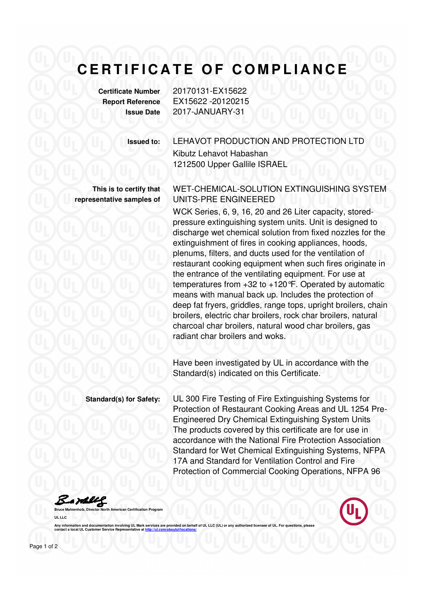## CERTIFICATE OF COMPLIANCE

**Certificate Number** 20170131-EX15622

**Report Reference** EX15622 -20120215 **Issue Date** 2017-JANUARY-31

Kibutz Lehavot Habashan

1212500 Upper Gallile ISRAEL

**Issued to:** LEHAVOT PRODUCTION AND PROTECTION LTD

**This is to certify that representative samples of** WET-CHEMICAL-SOLUTION EXTINGUISHING SYSTEM UNITS-PRE ENGINEERED

WCK Series, 6, 9, 16, 20 and 26 Liter capacity, storedpressure extinguishing system units. Unit is designed to discharge wet chemical solution from fixed nozzles for the extinguishment of fires in cooking appliances, hoods, plenums, filters, and ducts used for the ventilation of restaurant cooking equipment when such fires originate in the entrance of the ventilating equipment. For use at temperatures from +32 to +120°F. Operated by automatic means with manual back up. Includes the protection of deep fat fryers, griddles, range tops, upright broilers, chain broilers, electric char broilers, rock char broilers, natural charcoal char broilers, natural wood char broilers, gas radiant char broilers and woks.

Have been investigated by UL in accordance with the Standard(s) indicated on this Certificate.

**Standard(s) for Safety:** UL 300 Fire Testing of Fire Extinguishing Systems for Protection of Restaurant Cooking Areas and UL 1254 Pre-Engineered Dry Chemical Extinguishing System Units The products covered by this certificate are for use in accordance with the National Fire Protection Association Standard for Wet Chemical Extinguishing Systems, NFPA 17A and Standard for Ventilation Control and Fire Protection of Commercial Cooking Operations, NFPA 96

Bamell

**UL LLC** 

Any information and documentation involving UL Mark services are provided on behalf of UL LLC (UL) or any **contact a local UL Customer Service Representative at http://ul.com/aboutul/locations/**

**Brican Certification Program**